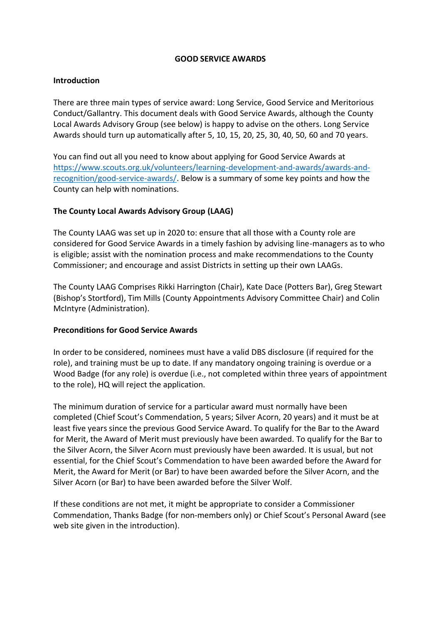#### **GOOD SERVICE AWARDS**

#### **Introduction**

There are three main types of service award: Long Service, Good Service and Meritorious Conduct/Gallantry. This document deals with Good Service Awards, although the County Local Awards Advisory Group (see below) is happy to advise on the others. Long Service Awards should turn up automatically after 5, 10, 15, 20, 25, 30, 40, 50, 60 and 70 years.

You can find out all you need to know about applying for Good Service Awards at [https://www.scouts.org.uk/volunteers/learning-development-and-awards/awards-and](https://www.scouts.org.uk/volunteers/learning-development-and-awards/awards-and-recognition/good-service-awards/)[recognition/good-service-awards/.](https://www.scouts.org.uk/volunteers/learning-development-and-awards/awards-and-recognition/good-service-awards/) Below is a summary of some key points and how the County can help with nominations.

### **The County Local Awards Advisory Group (LAAG)**

The County LAAG was set up in 2020 to: ensure that all those with a County role are considered for Good Service Awards in a timely fashion by advising line-managers as to who is eligible; assist with the nomination process and make recommendations to the County Commissioner; and encourage and assist Districts in setting up their own LAAGs.

The County LAAG Comprises Rikki Harrington (Chair), Kate Dace (Potters Bar), Greg Stewart (Bishop's Stortford), Tim Mills (County Appointments Advisory Committee Chair) and Colin McIntyre (Administration).

#### **Preconditions for Good Service Awards**

In order to be considered, nominees must have a valid DBS disclosure (if required for the role), and training must be up to date. If any mandatory ongoing training is overdue or a Wood Badge (for any role) is overdue (i.e., not completed within three years of appointment to the role), HQ will reject the application.

The minimum duration of service for a particular award must normally have been completed (Chief Scout's Commendation, 5 years; Silver Acorn, 20 years) and it must be at least five years since the previous Good Service Award. To qualify for the Bar to the Award for Merit, the Award of Merit must previously have been awarded. To qualify for the Bar to the Silver Acorn, the Silver Acorn must previously have been awarded. It is usual, but not essential, for the Chief Scout's Commendation to have been awarded before the Award for Merit, the Award for Merit (or Bar) to have been awarded before the Silver Acorn, and the Silver Acorn (or Bar) to have been awarded before the Silver Wolf.

If these conditions are not met, it might be appropriate to consider a Commissioner Commendation, Thanks Badge (for non-members only) or Chief Scout's Personal Award (see web site given in the introduction).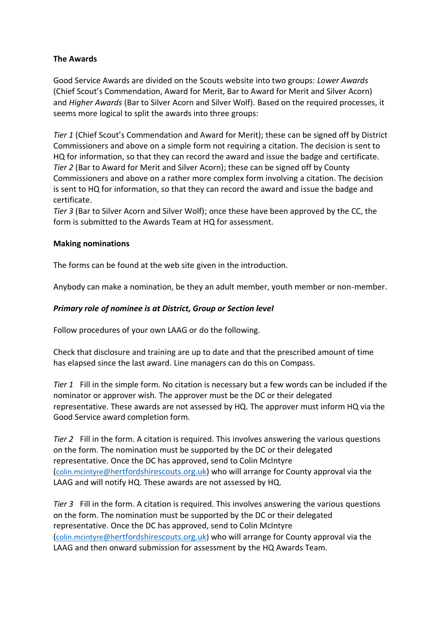## **The Awards**

Good Service Awards are divided on the Scouts website into two groups: *Lower Awards* (Chief Scout's Commendation, Award for Merit, Bar to Award for Merit and Silver Acorn) and *Higher Awards* (Bar to Silver Acorn and Silver Wolf). Based on the required processes, it seems more logical to split the awards into three groups:

*Tier 1* (Chief Scout's Commendation and Award for Merit); these can be signed off by District Commissioners and above on a simple form not requiring a citation. The decision is sent to HQ for information, so that they can record the award and issue the badge and certificate. *Tier 2* (Bar to Award for Merit and Silver Acorn); these can be signed off by County Commissioners and above on a rather more complex form involving a citation. The decision is sent to HQ for information, so that they can record the award and issue the badge and certificate.

*Tier 3* (Bar to Silver Acorn and Silver Wolf); once these have been approved by the CC, the form is submitted to the Awards Team at HQ for assessment.

#### **Making nominations**

The forms can be found at the web site given in the introduction.

Anybody can make a nomination, be they an adult member, youth member or non-member.

### *Primary role of nominee is at District, Group or Section level*

Follow procedures of your own LAAG or do the following.

Check that disclosure and training are up to date and that the prescribed amount of time has elapsed since the last award. Line managers can do this on Compass.

*Tier 1* Fill in the simple form. No citation is necessary but a few words can be included if the nominator or approver wish. The approver must be the DC or their delegated representative. These awards are not assessed by HQ. The approver must inform HQ via the Good Service award completion form.

*Tier 2* Fill in the form. A citation is required. This involves answering the various questions on the form. The nomination must be supported by the DC or their delegated representative. Once the DC has approved, send to Colin McIntyre ([colin.mcintyre@h](mailto:colin.mcintyre@hertfordshirescouts.org.uk)[ertfordshirescouts.org.uk\)](mailto:colin.mcintyre@hertfordshirescouts.org.uk) who will arrange for County approval via the LAAG and will notify HQ. These awards are not assessed by HQ.

*Tier 3* Fill in the form. A citation is required. This involves answering the various questions on the form. The nomination must be supported by the DC or their delegated representative. Once the DC has approved, send to Colin McIntyre ([colin.mcintyre@h](mailto:colin.mcintyre@hertfordshirescouts.org.uk)[ertfordshirescouts.org.uk](mailto:colin.mcintyre@hertfordshirescouts.org.uk)) who will arrange for County approval via the LAAG and then onward submission for assessment by the HQ Awards Team.